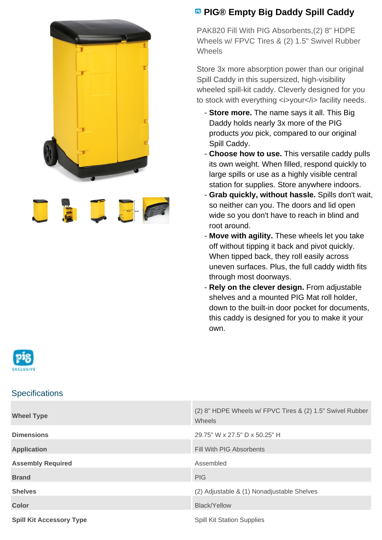



## **<sup><b>B</sup>** PIG® Empty Big Daddy Spill Caddy</sup>

PAK820 Fill With PIG Absorbents,(2) 8" HDPE Wheels w/ FPVC Tires & (2) 1.5" Swivel Rubber **Wheels** 

Store 3x more absorption power than our original Spill Caddy in this supersized, high-visibility wheeled spill-kit caddy. Cleverly designed for you to stock with everything <i>your</i> facility needs.

- **Store more.** The name says it all. This Big Daddy holds nearly 3x more of the PIG products you pick, compared to our original Spill Caddy.
- **Choose how to use.** This versatile caddy pulls its own weight. When filled, respond quickly to large spills or use as a highly visible central station for supplies. Store anywhere indoors.
- **Grab quickly, without hassle.** Spills don't wait, so neither can you. The doors and lid open wide so you don't have to reach in blind and root around.
- **Move with agility.** These wheels let you take off without tipping it back and pivot quickly. When tipped back, they roll easily across uneven surfaces. Plus, the full caddy width fits through most doorways.
- **Rely on the clever design.** From adjustable shelves and a mounted PIG Mat roll holder, down to the built-in door pocket for documents, this caddy is designed for you to make it your own.



## **Specifications**

| <b>Wheel Type</b>               | (2) 8" HDPE Wheels w/ FPVC Tires & (2) 1.5" Swivel Rubber<br>Wheels |
|---------------------------------|---------------------------------------------------------------------|
| <b>Dimensions</b>               | 29.75" W x 27.5" D x 50.25" H                                       |
| <b>Application</b>              | Fill With PIG Absorbents                                            |
| <b>Assembly Required</b>        | Assembled                                                           |
| <b>Brand</b>                    | <b>PIG</b>                                                          |
| <b>Shelves</b>                  | (2) Adjustable & (1) Nonadjustable Shelves                          |
| <b>Color</b>                    | <b>Black/Yellow</b>                                                 |
| <b>Spill Kit Accessory Type</b> | <b>Spill Kit Station Supplies</b>                                   |